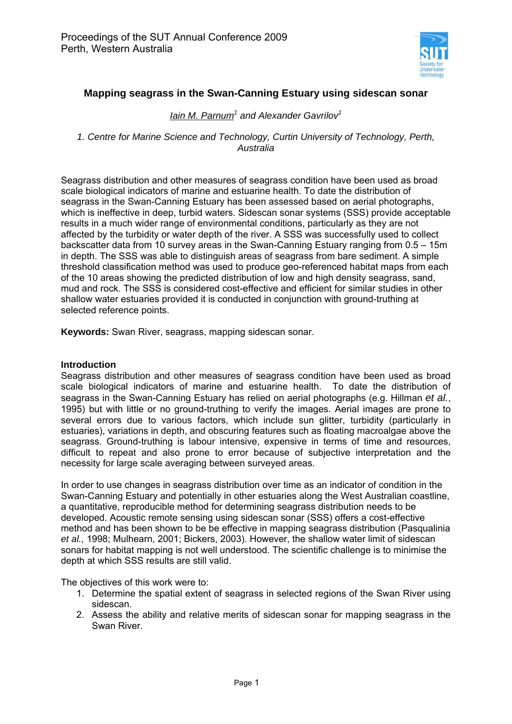

# **Mapping seagrass in the Swan-Canning Estuary using sidescan sonar**

# *Iain M. Parnum<sup>1</sup> and Alexander Gavrilov<sup>1</sup>*

*1. Centre for Marine Science and Technology, Curtin University of Technology, Perth, Australia* 

Seagrass distribution and other measures of seagrass condition have been used as broad scale biological indicators of marine and estuarine health. To date the distribution of seagrass in the Swan-Canning Estuary has been assessed based on aerial photographs, which is ineffective in deep, turbid waters. Sidescan sonar systems (SSS) provide acceptable results in a much wider range of environmental conditions, particularly as they are not affected by the turbidity or water depth of the river. A SSS was successfully used to collect backscatter data from 10 survey areas in the Swan-Canning Estuary ranging from 0.5 – 15m in depth. The SSS was able to distinguish areas of seagrass from bare sediment. A simple threshold classification method was used to produce geo-referenced habitat maps from each of the 10 areas showing the predicted distribution of low and high density seagrass, sand, mud and rock. The SSS is considered cost-effective and efficient for similar studies in other shallow water estuaries provided it is conducted in conjunction with ground-truthing at selected reference points.

**Keywords:** Swan River, seagrass, mapping sidescan sonar.

### **Introduction**

Seagrass distribution and other measures of seagrass condition have been used as broad scale biological indicators of marine and estuarine health. To date the distribution of seagrass in the Swan-Canning Estuary has relied on aerial photographs (e.g. Hillman *et al.*, 1995) but with little or no ground-truthing to verify the images. Aerial images are prone to several errors due to various factors, which include sun glitter, turbidity (particularly in estuaries), variations in depth, and obscuring features such as floating macroalgae above the seagrass. Ground-truthing is labour intensive, expensive in terms of time and resources, difficult to repeat and also prone to error because of subjective interpretation and the necessity for large scale averaging between surveyed areas.

In order to use changes in seagrass distribution over time as an indicator of condition in the Swan-Canning Estuary and potentially in other estuaries along the West Australian coastline, a quantitative, reproducible method for determining seagrass distribution needs to be developed. Acoustic remote sensing using sidescan sonar (SSS) offers a cost-effective method and has been shown to be be effective in mapping seagrass distribution (Pasqualinia *et al.,* 1998; Mulhearn, 2001; Bickers, 2003). However, the shallow water limit of sidescan sonars for habitat mapping is not well understood. The scientific challenge is to minimise the depth at which SSS results are still valid.

The objectives of this work were to:

- 1. Determine the spatial extent of seagrass in selected regions of the Swan River using sidescan.
- 2. Assess the ability and relative merits of sidescan sonar for mapping seagrass in the Swan River.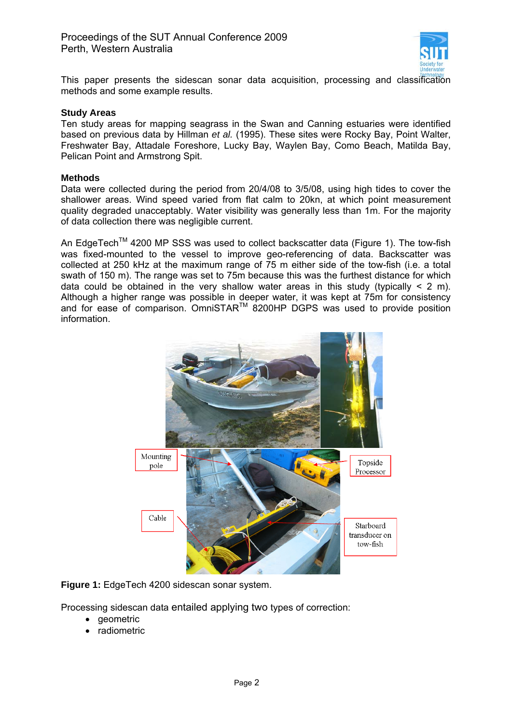

This paper presents the sidescan sonar data acquisition, processing and classification methods and some example results.

### **Study Areas**

Ten study areas for mapping seagrass in the Swan and Canning estuaries were identified based on previous data by Hillman *et al.* (1995). These sites were Rocky Bay, Point Walter, Freshwater Bay, Attadale Foreshore, Lucky Bay, Waylen Bay, Como Beach, Matilda Bay, Pelican Point and Armstrong Spit.

#### **Methods**

Data were collected during the period from 20/4/08 to 3/5/08, using high tides to cover the shallower areas. Wind speed varied from flat calm to 20kn, at which point measurement quality degraded unacceptably. Water visibility was generally less than 1m. For the majority of data collection there was negligible current.

An EdgeTech<sup>TM</sup> 4200 MP SSS was used to collect backscatter data (Figure 1). The tow-fish was fixed-mounted to the vessel to improve geo-referencing of data. Backscatter was collected at 250 kHz at the maximum range of 75 m either side of the tow-fish (i.e. a total swath of 150 m). The range was set to 75m because this was the furthest distance for which data could be obtained in the very shallow water areas in this study (typically  $\leq 2$  m). Although a higher range was possible in deeper water, it was kept at 75m for consistency and for ease of comparison. OmniSTAR<sup>™</sup> 8200HP DGPS was used to provide position information.



**Figure 1:** EdgeTech 4200 sidescan sonar system.

Processing sidescan data entailed applying two types of correction:

- geometric
- radiometric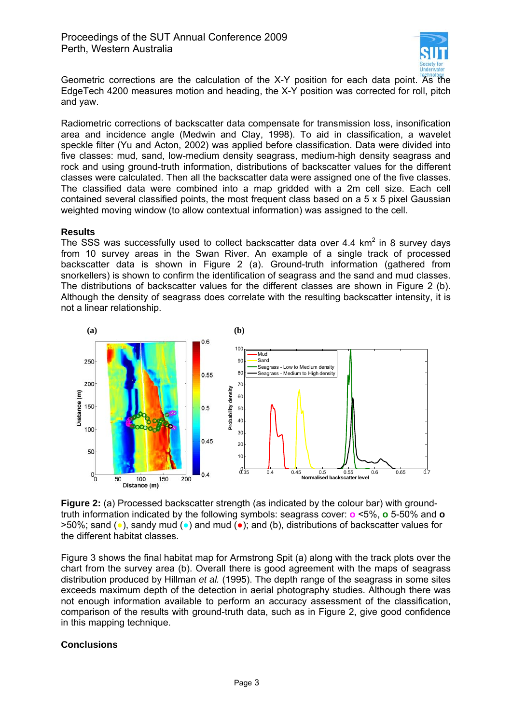

Geometric corrections are the calculation of the X-Y position for each data point. As the EdgeTech 4200 measures motion and heading, the X-Y position was corrected for roll, pitch and yaw.

Radiometric corrections of backscatter data compensate for transmission loss, insonification area and incidence angle (Medwin and Clay, 1998). To aid in classification, a wavelet speckle filter (Yu and Acton, 2002) was applied before classification. Data were divided into five classes: mud, sand, low-medium density seagrass, medium-high density seagrass and rock and using ground-truth information, distributions of backscatter values for the different classes were calculated. Then all the backscatter data were assigned one of the five classes. The classified data were combined into a map gridded with a 2m cell size. Each cell contained several classified points, the most frequent class based on a 5 x 5 pixel Gaussian weighted moving window (to allow contextual information) was assigned to the cell.

### **Results**

The SSS was successfully used to collect backscatter data over 4.4  $km^2$  in 8 survey days from 10 survey areas in the Swan River. An example of a single track of processed backscatter data is shown in Figure 2 (a). Ground-truth information (gathered from snorkellers) is shown to confirm the identification of seagrass and the sand and mud classes. The distributions of backscatter values for the different classes are shown in Figure 2 (b). Although the density of seagrass does correlate with the resulting backscatter intensity, it is not a linear relationship.



**Figure 2:** (a) Processed backscatter strength (as indicated by the colour bar) with groundtruth information indicated by the following symbols: seagrass cover: **o** <5%, **o** 5-50% and **o** >50%; sand (●), sandy mud (●) and mud (●); and (b), distributions of backscatter values for the different habitat classes.

Figure 3 shows the final habitat map for Armstrong Spit (a) along with the track plots over the chart from the survey area (b). Overall there is good agreement with the maps of seagrass distribution produced by Hillman *et al.* (1995). The depth range of the seagrass in some sites exceeds maximum depth of the detection in aerial photography studies. Although there was not enough information available to perform an accuracy assessment of the classification, comparison of the results with ground-truth data, such as in Figure 2, give good confidence in this mapping technique.

# **Conclusions**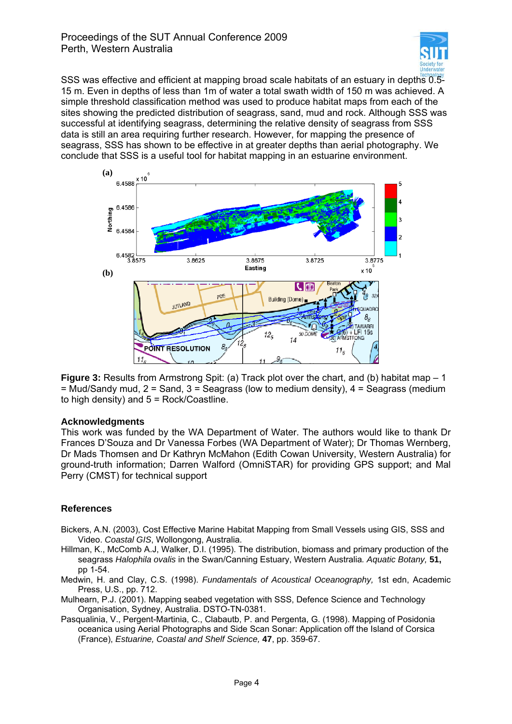

SSS was effective and efficient at mapping broad scale habitats of an estuary in depths 0.5- 15 m. Even in depths of less than 1m of water a total swath width of 150 m was achieved. A simple threshold classification method was used to produce habitat maps from each of the sites showing the predicted distribution of seagrass, sand, mud and rock. Although SSS was successful at identifying seagrass, determining the relative density of seagrass from SSS data is still an area requiring further research. However, for mapping the presence of seagrass, SSS has shown to be effective in at greater depths than aerial photography. We conclude that SSS is a useful tool for habitat mapping in an estuarine environment.



**Figure 3:** Results from Armstrong Spit: (a) Track plot over the chart, and (b) habitat map – 1  $=$  Mud/Sandy mud, 2 = Sand, 3 = Seagrass (low to medium density), 4 = Seagrass (medium to high density) and  $5 = \text{Rock/Coastline}$ .

# **Acknowledgments**

This work was funded by the WA Department of Water. The authors would like to thank Dr Frances D'Souza and Dr Vanessa Forbes (WA Department of Water); Dr Thomas Wernberg, Dr Mads Thomsen and Dr Kathryn McMahon (Edith Cowan University, Western Australia) for ground-truth information; Darren Walford (OmniSTAR) for providing GPS support; and Mal Perry (CMST) for technical support

# **References**

- Bickers, A.N. (2003), Cost Effective Marine Habitat Mapping from Small Vessels using GIS, SSS and Video. *Coastal GIS*, Wollongong, Australia.
- Hillman, K., McComb A.J, Walker, D.I. (1995). The distribution, biomass and primary production of the seagrass *Halophila ovalis* in the Swan/Canning Estuary, Western Australia*. Aquatic Botany,* **51,**  pp 1-54.
- Medwin, H. and Clay, C.S. (1998). *Fundamentals of Acoustical Oceanography,* 1st edn, Academic Press, U.S., pp. 712.

Mulhearn, P.J. (2001). Mapping seabed vegetation with SSS, Defence Science and Technology Organisation, Sydney, Australia. DSTO-TN-0381.

Pasqualinia, V., Pergent-Martinia, C., Clabautb, P. and Pergenta, G. (1998). Mapping of Posidonia oceanica using Aerial Photographs and Side Scan Sonar: Application off the Island of Corsica (France), *Estuarine, Coastal and Shelf Science,* **47**, pp. 359-67.